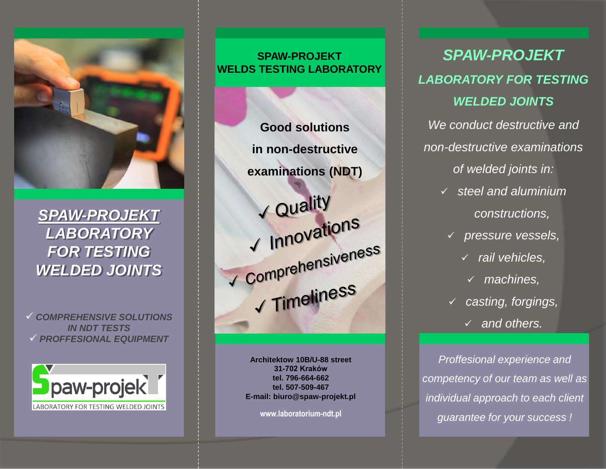

# *SPAW-PROJEKT LABORATORY FOR TESTING WELDED JOINTS*

 *COMPREHENSIVE SOLUTIONS IN NDT TESTS PROFFESIONAL EQUIPMENT*



### **SPAW-PROJEKT WELDS TESTING LABORATORY**



**Architektow 10B/U-88 street 31-702 Kraków tel. 796-664-662 tel. 507-509-467 E-mail: biuro@spaw-projekt.pl**

**www.laboratorium-ndt.pl**

*SPAW-PROJEKT LABORATORY FOR TESTING WELDED JOINTS We conduct destructive and non-destructive examinations*

*of welded joints in:*

- *steel and aluminium constructions,* 
	- *pressure vessels,* 
		- *rail vehicles,* 
			- *machines,*
	- *casting, forgings,* 
		- *and others.*

*Proffesional experience and competency of our team as well as individual approach to each client guarantee for your success !*